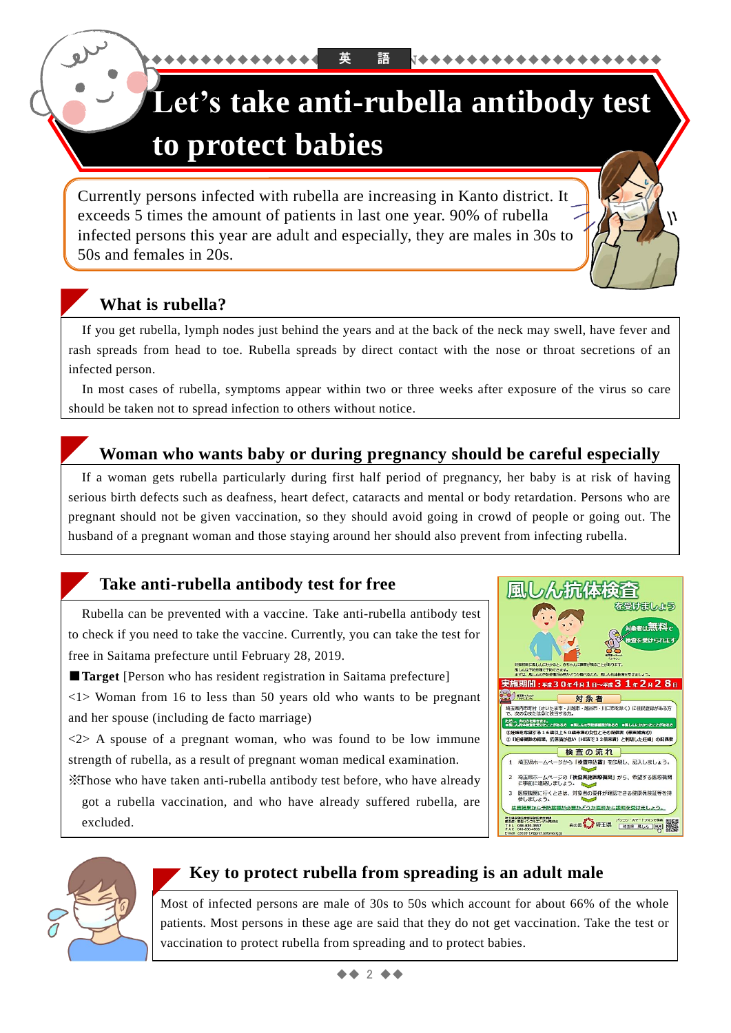英 語

# **Let's take anti-rubella antibody test to protect babies**

Currently persons infected with rubella are increasing in Kanto district. It exceeds 5 times the amount of patients in last one year. 90% of rubella infected persons this year are adult and especially, they are males in 30s to 50s and females in 20s.

## **What is rubella?**

If you get rubella, lymph nodes just behind the years and at the back of the neck may swell, have fever and rash spreads from head to toe. Rubella spreads by direct contact with the nose or throat secretions of an infected person.

In most cases of rubella, symptoms appear within two or three weeks after exposure of the virus so care should be taken not to spread infection to others without notice.

### **Woman who wants baby or during pregnancy should be careful especially**

If a woman gets rubella particularly during first half period of pregnancy, her baby is at risk of having serious birth defects such as deafness, heart defect, cataracts and mental or body retardation. Persons who are pregnant should not be given vaccination, so they should avoid going in crowd of people or going out. The husband of a pregnant woman and those staying around her should also prevent from infecting rubella.

## **Take anti-rubella antibody test for free**

◆◆◆◆◆◆◆◆◆◆◆◆◆◆◆◆◆◆◆◆INFORMATION◆◆◆◆◆◆◆◆◆◆◆◆◆◆◆◆◆◆◆◆

Rubella can be prevented with a vaccine. Take anti-rubella antibody test to check if you need to take the vaccine. Currently, you can take the test for free in Saitama prefecture until February 28, 2019.

■**Target** [Person who has resident registration in Saitama prefecture]

<1> Woman from 16 to less than 50 years old who wants to be pregnant and her spouse (including de facto marriage)

 $\langle 2 \rangle$  A spouse of a pregnant woman, who was found to be low immune strength of rubella, as a result of pregnant woman medical examination.

※Those who have taken anti-rubella antibody test before, who have already got a rubella vaccination, and who have already suffered rubella, are excluded.





#### **Key to protect rubella from spreading is an adult male**

Most of infected persons are male of 30s to 50s which account for about 66% of the whole patients. Most persons in these age are said that they do not get vaccination. Take the test or vaccination to protect rubella from spreading and to protect babies.